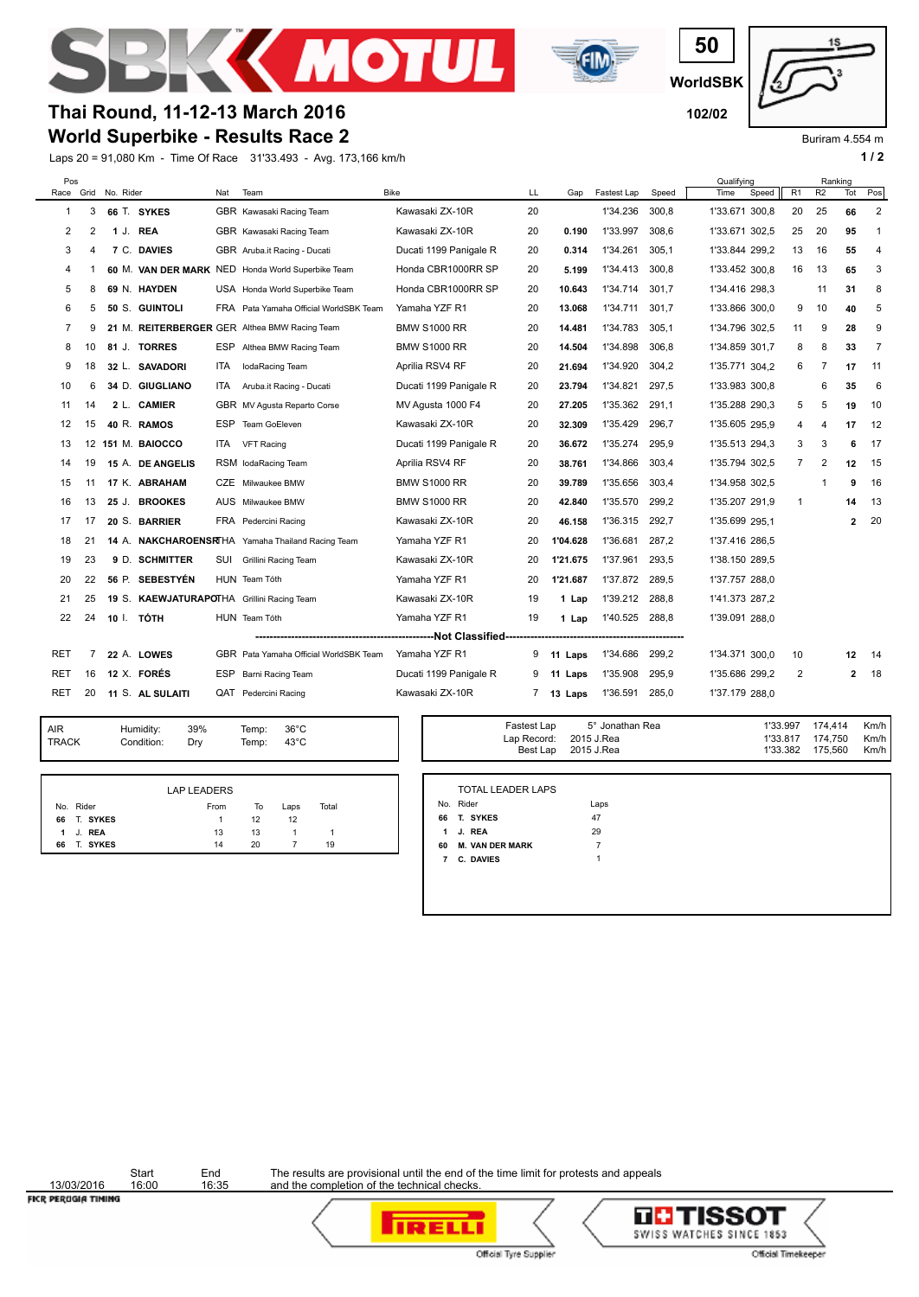



**WorldSBK 50**



Buriram 4.554 m

## **World Superbike - Results Race 2 Thai Round, 11-12-13 March 2016 102/02**

Laps 20 = 91,080 Km - Time Of Race 31'33.493 - Avg. 173,166 km/h **1 / 2 1 / 2** 

| Pos            |    | Race Grid No. Rider |                                            | Nat        | Team                                              | <b>Bike</b>                            | LL | Gap      | Fastest Lap | Speed | Qualifying<br>Time | Speed | R <sub>1</sub> | Ranking<br>R <sub>2</sub> | Tot            | Pos          |
|----------------|----|---------------------|--------------------------------------------|------------|---------------------------------------------------|----------------------------------------|----|----------|-------------|-------|--------------------|-------|----------------|---------------------------|----------------|--------------|
| -1             | 3  |                     | 66 T. SYKES                                |            | GBR Kawasaki Racing Team                          | Kawasaki ZX-10R                        | 20 |          | 1'34.236    | 300,8 | 1'33.671 300,8     |       | 20             | 25                        | 66             | 2            |
| 2              | 2  | 1 J. REA            |                                            |            | GBR Kawasaki Racing Team                          | Kawasaki ZX-10R                        | 20 | 0.190    | 1'33.997    | 308.6 | 1'33.671 302.5     |       | 25             | 20                        | 95             | $\mathbf{1}$ |
| 3              | 4  |                     | 7 C. DAVIES                                |            | GBR Aruba.it Racing - Ducati                      | Ducati 1199 Panigale R                 | 20 | 0.314    | 1'34.261    | 305,1 | 1'33.844 299,2     |       | 13             | 16                        | 55             | 4            |
| 4              |    |                     |                                            |            | 60 M. VAN DER MARK NED Honda World Superbike Team | Honda CBR1000RR SP                     | 20 | 5.199    | 1'34.413    | 300.8 | 1'33.452 300.8     |       | 16             | 13                        | 65             | 3            |
| 5              | 8  |                     | 69 N. HAYDEN                               |            | USA Honda World Superbike Team                    | Honda CBR1000RR SP                     | 20 | 10.643   | 1'34.714    | 301.7 | 1'34.416 298,3     |       |                | 11                        | 31             | 8            |
| 6              | 5  |                     | 50 S. GUINTOLI                             |            | FRA Pata Yamaha Official WorldSBK Team            | Yamaha YZF R1                          | 20 | 13.068   | 1'34.711    | 301.7 | 1'33.866 300.0     |       | 9              | 10                        | 40             | 5            |
| $\overline{7}$ | 9  |                     |                                            |            | 21 M. REITERBERGER GER Althea BMW Racing Team     | <b>BMW S1000 RR</b>                    | 20 | 14.481   | 1'34.783    | 305,1 | 1'34.796 302,5     |       | 11             | 9                         | 28             | 9            |
| 8              | 10 |                     | 81 J. TORRES                               | ESP        | Althea BMW Racing Team                            | <b>BMW S1000 RR</b>                    | 20 | 14.504   | 1'34.898    | 306.8 | 1'34.859 301.7     |       | 8              | 8                         | 33             | 7            |
| 9              | 18 |                     | 32 L. SAVADORI                             | ITA.       | IodaRacing Team                                   | Aprilia RSV4 RF                        | 20 | 21.694   | 1'34.920    | 304,2 | 1'35.771 304.2     |       | 6              | $\overline{7}$            | 17             | 11           |
| 10             | 6  |                     | 34 D. GIUGLIANO                            | ITA.       | Aruba.it Racing - Ducati                          | Ducati 1199 Panigale R                 | 20 | 23.794   | 1'34.821    | 297,5 | 1'33.983 300.8     |       |                | 6                         | 35             | 6            |
| 11             | 14 |                     | 2 L. CAMIER                                |            | GBR MV Agusta Reparto Corse                       | MV Agusta 1000 F4                      | 20 | 27.205   | 1'35.362    | 291,1 | 1'35.288 290,3     |       | 5              | 5                         | 19             | 10           |
| 12             | 15 |                     | 40 R. RAMOS                                | ESP        | Team GoEleven                                     | Kawasaki ZX-10R                        | 20 | 32.309   | 1'35.429    | 296.7 | 1'35.605 295.9     |       | 4              | 4                         | 17             | 12           |
| 13             | 12 |                     | 151 M. BAIOCCO                             | ITA        | <b>VFT Racing</b>                                 | Ducati 1199 Panigale R                 | 20 | 36.672   | 1'35.274    | 295,9 | 1'35.513 294,3     |       | 3              | 3                         | 6              | 17           |
| 14             | 19 |                     | 15 A. DE ANGELIS                           |            | RSM lodaRacing Team                               | Aprilia RSV4 RF                        | 20 | 38.761   | 1'34.866    | 303.4 | 1'35.794 302.5     |       | $\overline{7}$ | 2                         | 12             | 15           |
| 15             | 11 |                     | 17 K. ABRAHAM                              |            | CZE Milwaukee BMW                                 | <b>BMW S1000 RR</b>                    | 20 | 39.789   | 1'35.656    | 303,4 | 1'34.958 302,5     |       |                |                           | 9              | 16           |
| 16             | 13 |                     | 25 J. BROOKES                              |            | AUS Milwaukee BMW                                 | <b>BMW S1000 RR</b>                    | 20 | 42.840   | 1'35.570    | 299.2 | 1'35.207 291,9     |       | $\mathbf{1}$   |                           | 14             | 13           |
| 17             | 17 |                     | 20 S. BARRIER                              |            | FRA Pedercini Racing                              | Kawasaki ZX-10R                        | 20 | 46.158   | 1'36.315    | 292,7 | 1'35.699 295.1     |       |                |                           | $\overline{2}$ | 20           |
| 18             | 21 |                     |                                            |            | 14 A. NAKCHAROENSRTHA Yamaha Thailand Racing Team | Yamaha YZF R1                          | 20 | 1'04.628 | 1'36.681    | 287.2 | 1'37.416 286.5     |       |                |                           |                |              |
| 19             | 23 |                     | 9 D. SCHMITTER                             | SUI        | Grillini Racing Team                              | Kawasaki ZX-10R                        | 20 | 1'21.675 | 1'37.961    | 293,5 | 1'38.150 289,5     |       |                |                           |                |              |
| 20             | 22 |                     | 56 P. SEBESTYÉN                            |            | HUN Team Tóth                                     | Yamaha YZF R1                          | 20 | 1'21.687 | 1'37.872    | 289.5 | 1'37.757 288.0     |       |                |                           |                |              |
| 21             | 25 |                     | 19 S. KAEWJATURAPOTHA Grillini Racing Team |            |                                                   | Kawasaki ZX-10R                        | 19 | 1 Lap    | 1'39.212    | 288,8 | 1'41.373 287.2     |       |                |                           |                |              |
| 22             | 24 | 10 I. TÓTH          |                                            |            | HUN Team Tóth                                     | Yamaha YZF R1                          | 19 | 1 Lap    | 1'40.525    | 288.8 | 1'39.091 288,0     |       |                |                           |                |              |
|                |    |                     |                                            |            |                                                   | ------------Not Classified------------ |    |          |             |       |                    |       |                |                           |                |              |
| RET            | 7  |                     | 22 A. LOWES                                |            | GBR Pata Yamaha Official WorldSBK Team            | Yamaha YZF R1                          | 9  | 11 Laps  | 1'34.686    | 299.2 | 1'34.371 300.0     |       | 10             |                           | 12             | 14           |
| RET            | 16 |                     | 12 X. FORÉS                                | <b>ESP</b> | Barni Racing Team                                 | Ducati 1199 Panigale R                 | 9  | 11 Laps  | 1'35.908    | 295,9 | 1'35.686 299,2     |       | 2              |                           | $\overline{2}$ | 18           |
| RET            | 20 |                     | 11 S. AL SULAITI                           |            | QAT Pedercini Racing                              | Kawasaki ZX-10R                        | 7  | 13 Laps  | 1'36.591    | 285.0 | 1'37.179 288.0     |       |                |                           |                |              |

| AIR          | Humidity:  | 39% |
|--------------|------------|-----|
| <b>TRACK</b> | Condition: | Dry |

39% 36°C Temp: 43°C

|                | <b>LAP LEADERS</b> |    |      |       |
|----------------|--------------------|----|------|-------|
| No. Rider      | From               | To | Laps | Total |
| T. SYKES<br>66 |                    | 12 | 12   |       |
| 1 J. REA       | 13                 | 13 |      |       |
| T. SYKES<br>66 | 14                 | 20 |      | 19    |

| Temp: | $36^{\circ}$ C | Fastest Lap            | 5° Jonathan Rea     | 1'33.997 | 174,414 | Km/h |
|-------|----------------|------------------------|---------------------|----------|---------|------|
| Temp: | $43^{\circ}$ C | Lap Record: 2015 J.Rea |                     | 1'33.817 | 174.750 | Km/h |
|       |                |                        | Best Lap 2015 J.Rea | 1'33.382 | 175.560 | Km/h |

|                | No. Rider              | Laps |  |
|----------------|------------------------|------|--|
| 66             | T. SYKES               | 47   |  |
| 1              | J. REA                 | 29   |  |
| 60             | <b>M. VAN DER MARK</b> | 7    |  |
| $\overline{7}$ | C. DAVIES              | 1    |  |

13/03/2016<br>FICR PERUGIA TIMING

Start End<br>16:00 16:35

The results are provisional until the end of the time limit for protests and appeals and the completion of the technical checks.